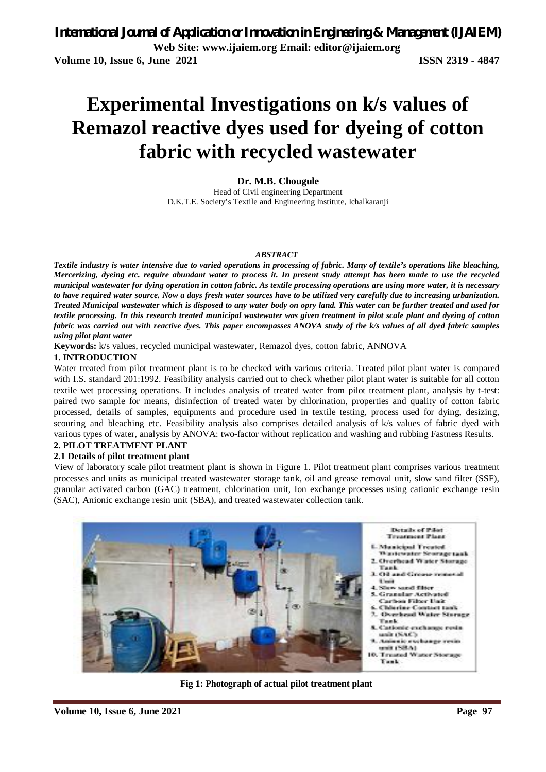# **Experimental Investigations on k/s values of Remazol reactive dyes used for dyeing of cotton fabric with recycled wastewater**

**Dr. M.B. Chougule** Head of Civil engineering Department D.K.T.E. Society's Textile and Engineering Institute, Ichalkaranji

#### *ABSTRACT*

*Textile industry is water intensive due to varied operations in processing of fabric. Many of textile's operations like bleaching, Mercerizing, dyeing etc. require abundant water to process it. In present study attempt has been made to use the recycled municipal wastewater for dying operation in cotton fabric. As textile processing operations are using more water, it is necessary to have required water source. Now a days fresh water sources have to be utilized very carefully due to increasing urbanization. Treated Municipal wastewater which is disposed to any water body on opry land. This water can be further treated and used for textile processing. In this research treated municipal wastewater was given treatment in pilot scale plant and dyeing of cotton fabric was carried out with reactive dyes. This paper encompasses ANOVA study of the k/s values of all dyed fabric samples using pilot plant water*

**Keywords:** k/s values, recycled municipal wastewater, Remazol dyes, cotton fabric, ANNOVA

### **1. INTRODUCTION**

Water treated from pilot treatment plant is to be checked with various criteria. Treated pilot plant water is compared with I.S. standard 201:1992. Feasibility analysis carried out to check whether pilot plant water is suitable for all cotton textile wet processing operations. It includes analysis of treated water from pilot treatment plant, analysis by t-test: paired two sample for means, disinfection of treated water by chlorination, properties and quality of cotton fabric processed, details of samples, equipments and procedure used in textile testing, process used for dying, desizing, scouring and bleaching etc. Feasibility analysis also comprises detailed analysis of k/s values of fabric dyed with various types of water, analysis by ANOVA: two-factor without replication and washing and rubbing Fastness Results.

### **2. PILOT TREATMENT PLANT**

### **2.1 Details of pilot treatment plant**

View of laboratory scale pilot treatment plant is shown in Figure 1. Pilot treatment plant comprises various treatment processes and units as municipal treated wastewater storage tank, oil and grease removal unit, slow sand filter (SSF), granular activated carbon (GAC) treatment, chlorination unit, Ion exchange processes using cationic exchange resin (SAC), Anionic exchange resin unit (SBA), and treated wastewater collection tank.



**Fig 1: Photograph of actual pilot treatment plant**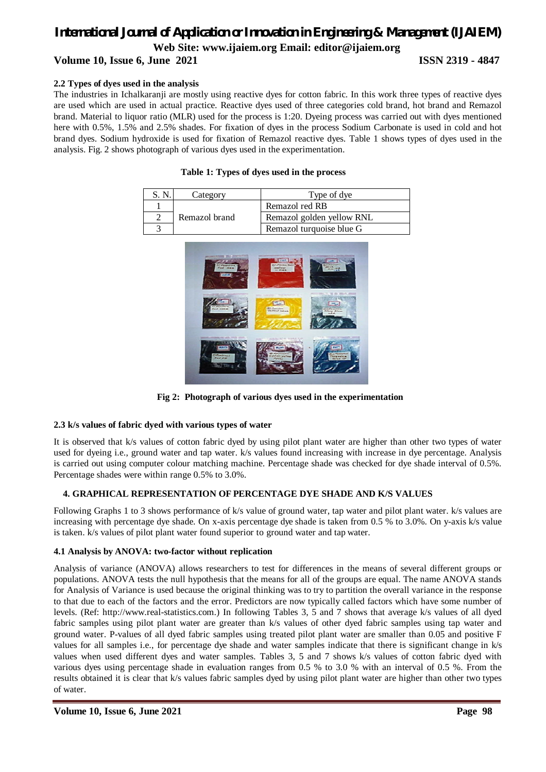# *International Journal of Application or Innovation in Engineering & Management (IJAIEM)* **Web Site: www.ijaiem.org Email: editor@ijaiem.org**

### **Volume 10, Issue 6, June 2021 ISSN 2319 - 4847**

### **2.2 Types of dyes used in the analysis**

The industries in Ichalkaranji are mostly using reactive dyes for cotton fabric. In this work three types of reactive dyes are used which are used in actual practice. Reactive dyes used of three categories cold brand, hot brand and Remazol brand. Material to liquor ratio (MLR) used for the process is 1:20. Dyeing process was carried out with dyes mentioned here with 0.5%, 1.5% and 2.5% shades. For fixation of dyes in the process Sodium Carbonate is used in cold and hot brand dyes. Sodium hydroxide is used for fixation of Remazol reactive dyes. Table 1 shows types of dyes used in the analysis. Fig. 2 shows photograph of various dyes used in the experimentation.

| S. N | Category      | Type of dye               |
|------|---------------|---------------------------|
|      |               | Remazol red RB            |
|      | Remazol brand | Remazol golden yellow RNL |
|      |               | Remazol turquoise blue G  |





**Fig 2: Photograph of various dyes used in the experimentation**

### **2.3 k/s values of fabric dyed with various types of water**

It is observed that k/s values of cotton fabric dyed by using pilot plant water are higher than other two types of water used for dyeing i.e., ground water and tap water. k/s values found increasing with increase in dye percentage. Analysis is carried out using computer colour matching machine. Percentage shade was checked for dye shade interval of 0.5%. Percentage shades were within range 0.5% to 3.0%.

### **4. GRAPHICAL REPRESENTATION OF PERCENTAGE DYE SHADE AND K/S VALUES**

Following Graphs 1 to 3 shows performance of k/s value of ground water, tap water and pilot plant water. k/s values are increasing with percentage dye shade. On x-axis percentage dye shade is taken from 0.5 % to 3.0%. On y-axis k/s value is taken. k/s values of pilot plant water found superior to ground water and tap water.

### **4.1 Analysis by ANOVA: two-factor without replication**

Analysis of variance (ANOVA) allows researchers to test for differences in the means of several different groups or populations. ANOVA tests the null hypothesis that the means for all of the groups are equal. The name ANOVA stands for Analysis of Variance is used because the original thinking was to try to partition the overall variance in the response to that due to each of the factors and the error. Predictors are now typically called factors which have some number of levels. (Ref: http://www.real-statistics.com.) In following Tables 3, 5 and 7 shows that average k/s values of all dyed fabric samples using pilot plant water are greater than k/s values of other dyed fabric samples using tap water and ground water. P-values of all dyed fabric samples using treated pilot plant water are smaller than 0.05 and positive F values for all samples i.e., for percentage dye shade and water samples indicate that there is significant change in k/s values when used different dyes and water samples. Tables 3, 5 and 7 shows k/s values of cotton fabric dyed with various dyes using percentage shade in evaluation ranges from 0.5 % to 3.0 % with an interval of 0.5 %. From the results obtained it is clear that k/s values fabric samples dyed by using pilot plant water are higher than other two types of water.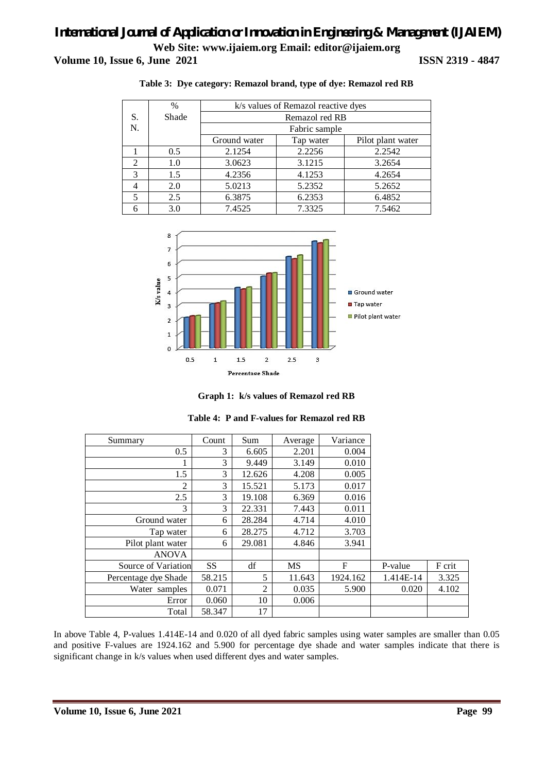|                | $\%$  | k/s values of Remazol reactive dyes            |        |        |  |  |  |  |
|----------------|-------|------------------------------------------------|--------|--------|--|--|--|--|
| S.             | Shade | Remazol red RB                                 |        |        |  |  |  |  |
| N.             |       | Fabric sample                                  |        |        |  |  |  |  |
|                |       | Ground water<br>Pilot plant water<br>Tap water |        |        |  |  |  |  |
|                | 0.5   | 2.1254                                         | 2.2256 | 2.2542 |  |  |  |  |
| $\mathfrak{D}$ | 1.0   | 3.0623                                         | 3.1215 | 3.2654 |  |  |  |  |
| 3              | 1.5   | 4.2356                                         | 4.1253 | 4.2654 |  |  |  |  |
|                | 2.0   | 5.0213                                         | 5.2352 | 5.2652 |  |  |  |  |
| 5              | 2.5   | 6.3875                                         | 6.2353 | 6.4852 |  |  |  |  |
|                | 3.0   | 7.4525                                         | 7.3325 | 7.5462 |  |  |  |  |

#### **Table 3: Dye category: Remazol brand, type of dye: Remazol red RB**





| Summary              | Count     | Sum    | Average | Variance |           |        |
|----------------------|-----------|--------|---------|----------|-----------|--------|
| 0.5                  | 3         | 6.605  | 2.201   | 0.004    |           |        |
|                      | 3         | 9.449  | 3.149   | 0.010    |           |        |
| 1.5                  | 3         | 12.626 | 4.208   | 0.005    |           |        |
| 2                    | 3         | 15.521 | 5.173   | 0.017    |           |        |
| 2.5                  | 3         | 19.108 | 6.369   | 0.016    |           |        |
| 3                    | 3         | 22.331 | 7.443   | 0.011    |           |        |
| Ground water         | 6         | 28.284 | 4.714   | 4.010    |           |        |
| Tap water            | 6         | 28.275 | 4.712   | 3.703    |           |        |
| Pilot plant water    | 6         | 29.081 | 4.846   | 3.941    |           |        |
| <b>ANOVA</b>         |           |        |         |          |           |        |
| Source of Variation  | <b>SS</b> | df     | MS      | F        | P-value   | F crit |
| Percentage dye Shade | 58.215    | 5      | 11.643  | 1924.162 | 1.414E-14 | 3.325  |
| Water samples        | 0.071     | 2      | 0.035   | 5.900    | 0.020     | 4.102  |
| Error                | 0.060     | 10     | 0.006   |          |           |        |
| Total                | 58.347    | 17     |         |          |           |        |

### **Table 4: P and F-values for Remazol red RB**

In above Table 4, P-values 1.414E-14 and 0.020 of all dyed fabric samples using water samples are smaller than 0.05 and positive F-values are 1924.162 and 5.900 for percentage dye shade and water samples indicate that there is significant change in k/s values when used different dyes and water samples.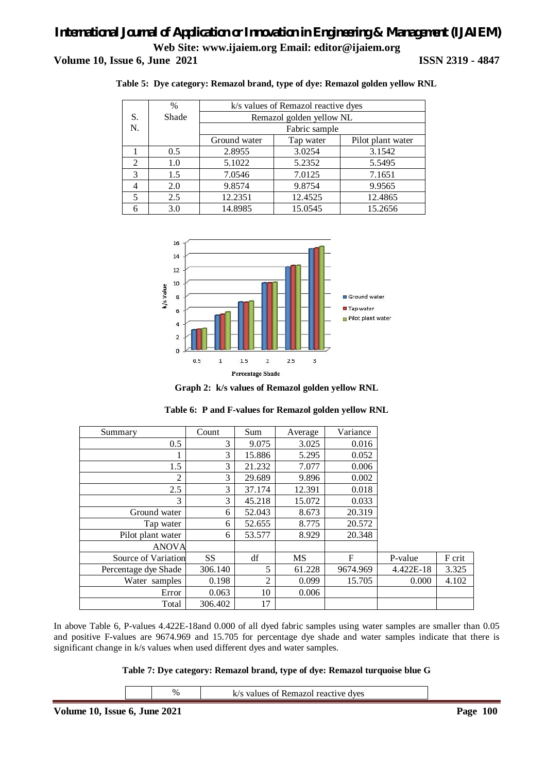|               | $\%$  | k/s values of Remazol reactive dyes |                                |         |  |  |  |  |  |
|---------------|-------|-------------------------------------|--------------------------------|---------|--|--|--|--|--|
| S.            | Shade |                                     | Remazol golden yellow NL       |         |  |  |  |  |  |
| N.            |       |                                     | Fabric sample                  |         |  |  |  |  |  |
|               |       | Ground water                        | Pilot plant water<br>Tap water |         |  |  |  |  |  |
|               | 0.5   | 2.8955                              | 3.0254                         | 3.1542  |  |  |  |  |  |
| 2             | 1.0   | 5.1022                              | 5.2352                         | 5.5495  |  |  |  |  |  |
| $\mathcal{R}$ | 1.5   | 7.0546                              | 7.0125                         | 7.1651  |  |  |  |  |  |
|               | 2.0   | 9.8574                              | 9.8754                         | 9.9565  |  |  |  |  |  |
| 5             | 2.5   | 12.2351                             | 12.4525                        | 12.4865 |  |  |  |  |  |
|               | 3.0   | 14.8985                             | 15.0545                        | 15.2656 |  |  |  |  |  |

**Table 5: Dye category: Remazol brand, type of dye: Remazol golden yellow RNL**



**Graph 2: k/s values of Remazol golden yellow RNL**

| Summary              | Count     | Sum            | Average   | Variance |           |        |
|----------------------|-----------|----------------|-----------|----------|-----------|--------|
| 0.5                  | 3         | 9.075          | 3.025     | 0.016    |           |        |
|                      | 3         | 15.886         | 5.295     | 0.052    |           |        |
| 1.5                  | 3         | 21.232         | 7.077     | 0.006    |           |        |
| 2                    | 3         | 29.689         | 9.896     | 0.002    |           |        |
| 2.5                  | 3         | 37.174         | 12.391    | 0.018    |           |        |
| 3                    | 3         | 45.218         | 15.072    | 0.033    |           |        |
| Ground water         | 6         | 52.043         | 8.673     | 20.319   |           |        |
| Tap water            | 6         | 52.655         | 8.775     | 20.572   |           |        |
| Pilot plant water    | 6         | 53.577         | 8.929     | 20.348   |           |        |
| <b>ANOVA</b>         |           |                |           |          |           |        |
| Source of Variation  | <b>SS</b> | df             | <b>MS</b> | F        | P-value   | F crit |
| Percentage dye Shade | 306.140   | 5              | 61.228    | 9674.969 | 4.422E-18 | 3.325  |
| Water samples        | 0.198     | $\overline{2}$ | 0.099     | 15.705   | 0.000     | 4.102  |
| Error                | 0.063     | 10             | 0.006     |          |           |        |
| Total                | 306.402   | 17             |           |          |           |        |

|  | Table 6: P and F-values for Remazol golden yellow RNL |  |  |  |
|--|-------------------------------------------------------|--|--|--|
|  |                                                       |  |  |  |

In above Table 6, P-values 4.422E-18and 0.000 of all dyed fabric samples using water samples are smaller than 0.05 and positive F-values are 9674.969 and 15.705 for percentage dye shade and water samples indicate that there is significant change in k/s values when used different dyes and water samples.

**Table 7: Dye category: Remazol brand, type of dye: Remazol turquoise blue G**

| -- -<br>$\sim$ $\sim$ | - - | $  -$ |                                  | $\overline{\phantom{a}}$ | $\sim$ $\sim$ $\sim$ |
|-----------------------|-----|-------|----------------------------------|--------------------------|----------------------|
|                       |     | $\%$  | dyes<br>$\sim$ $\sim$<br>21<br>. |                          |                      |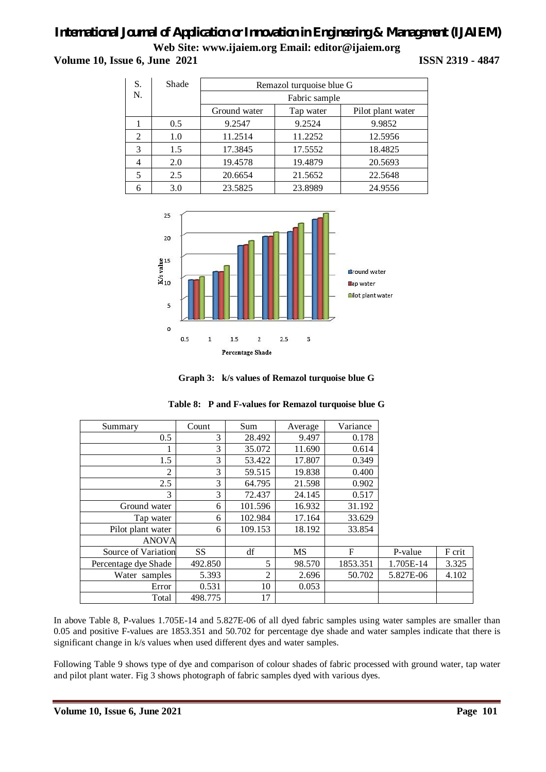## *International Journal of Application or Innovation in Engineering & Management (IJAIEM)* **Web Site: www.ijaiem.org Email: editor@ijaiem.org**

**Volume 10, Issue 6, June 2021 ISSN 2319 - 4847** 

| S.             | Shade | Remazol turquoise blue G |           |                   |  |  |  |
|----------------|-------|--------------------------|-----------|-------------------|--|--|--|
| N.             |       | Fabric sample            |           |                   |  |  |  |
|                |       | Ground water             | Tap water | Pilot plant water |  |  |  |
|                | 0.5   | 9.2547                   | 9.2524    | 9.9852            |  |  |  |
| 2              | 1.0   | 11.2514                  | 11.2252   | 12.5956           |  |  |  |
| 3              | 1.5   | 17.3845                  | 17.5552   | 18.4825           |  |  |  |
| $\overline{4}$ | 2.0   | 19.4578                  | 19.4879   | 20.5693           |  |  |  |
| 5              | 2.5   | 20.6654                  | 21.5652   | 22.5648           |  |  |  |
|                | 3.0   | 23.5825                  | 23.8989   | 24.9556           |  |  |  |



**Graph 3: k/s values of Remazol turquoise blue G**

| Summary              | Count     | Sum            | Average | Variance |           |        |
|----------------------|-----------|----------------|---------|----------|-----------|--------|
| 0.5                  | 3         | 28.492         | 9.497   | 0.178    |           |        |
|                      | 3         | 35.072         | 11.690  | 0.614    |           |        |
| 1.5                  | 3         | 53.422         | 17.807  | 0.349    |           |        |
| $\overline{2}$       | 3         | 59.515         | 19.838  | 0.400    |           |        |
| 2.5                  | 3         | 64.795         | 21.598  | 0.902    |           |        |
| 3                    | 3         | 72.437         | 24.145  | 0.517    |           |        |
| Ground water         | 6         | 101.596        | 16.932  | 31.192   |           |        |
| Tap water            | 6         | 102.984        | 17.164  | 33.629   |           |        |
| Pilot plant water    | 6         | 109.153        | 18.192  | 33.854   |           |        |
| <b>ANOVA</b>         |           |                |         |          |           |        |
| Source of Variation  | <b>SS</b> | df             | MS      | F        | P-value   | F crit |
| Percentage dye Shade | 492.850   | 5              | 98.570  | 1853.351 | 1.705E-14 | 3.325  |
| Water samples        | 5.393     | $\overline{2}$ | 2.696   | 50.702   | 5.827E-06 | 4.102  |
| Error                | 0.531     | 10             | 0.053   |          |           |        |
| Total                | 498.775   | 17             |         |          |           |        |

### **Table 8: P and F-values for Remazol turquoise blue G**

In above Table 8, P-values 1.705E-14 and 5.827E-06 of all dyed fabric samples using water samples are smaller than 0.05 and positive F-values are 1853.351 and 50.702 for percentage dye shade and water samples indicate that there is significant change in k/s values when used different dyes and water samples.

Following Table 9 shows type of dye and comparison of colour shades of fabric processed with ground water, tap water and pilot plant water. Fig 3 shows photograph of fabric samples dyed with various dyes.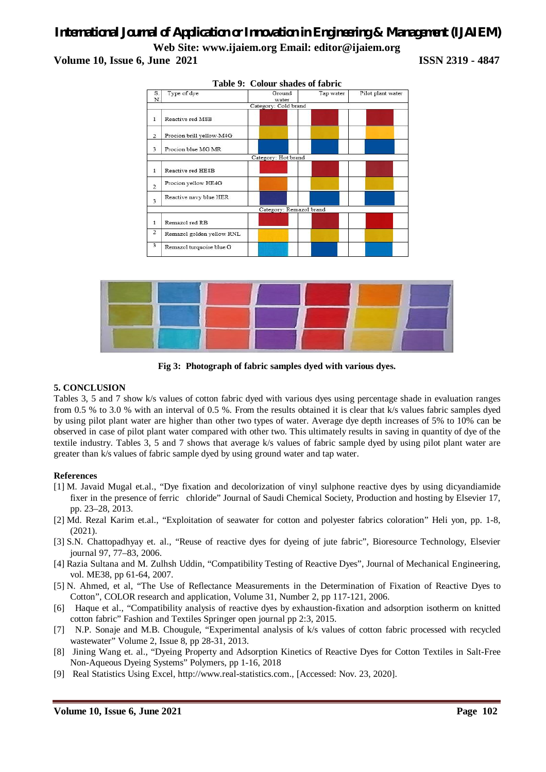



**Fig 3: Photograph of fabric samples dyed with various dyes.**

### **5. CONCLUSION**

Tables 3, 5 and 7 show k/s values of cotton fabric dyed with various dyes using percentage shade in evaluation ranges from 0.5 % to 3.0 % with an interval of 0.5 %. From the results obtained it is clear that k/s values fabric samples dyed by using pilot plant water are higher than other two types of water. Average dye depth increases of 5% to 10% can be observed in case of pilot plant water compared with other two. This ultimately results in saving in quantity of dye of the textile industry. Tables 3, 5 and 7 shows that average k/s values of fabric sample dyed by using pilot plant water are greater than k/s values of fabric sample dyed by using ground water and tap water.

### **References**

- [1] M. Javaid Mugal et.al., "Dye fixation and decolorization of vinyl sulphone reactive dyes by using dicyandiamide fixer in the presence of ferric chloride" Journal of Saudi Chemical Society, Production and hosting by Elsevier 17, pp. 23–28, 2013.
- [2] Md. Rezal Karim et.al., "Exploitation of seawater for cotton and polyester fabrics coloration" Heli yon, pp. 1-8, (2021).
- [3] S.N. Chattopadhyay et. al., "Reuse of reactive dyes for dyeing of jute fabric", Bioresource Technology, Elsevier journal 97, 77–83, 2006.
- [4] Razia Sultana and M. Zulhsh Uddin, "Compatibility Testing of Reactive Dyes", Journal of Mechanical Engineering, vol. ME38, pp 61-64, 2007.
- [5] N. Ahmed, et al, "The Use of Reflectance Measurements in the Determination of Fixation of Reactive Dyes to Cotton", COLOR research and application, Volume 31, Number 2, pp 117-121, 2006.
- [6] Haque et al., "Compatibility analysis of reactive dyes by exhaustion-fixation and adsorption isotherm on knitted cotton fabric" Fashion and Textiles Springer open journal pp 2:3, 2015.
- [7] N.P. Sonaje and M.B. Chougule, "Experimental analysis of k/s values of cotton fabric processed with recycled wastewater" Volume 2, Issue 8, pp 28-31, 2013.
- [8] Jining Wang et. al., "Dyeing Property and Adsorption Kinetics of Reactive Dyes for Cotton Textiles in Salt-Free Non-Aqueous Dyeing Systems" Polymers, pp 1-16, 2018
- [9] Real Statistics Using Excel, http://www.real-statistics.com., [Accessed: Nov. 23, 2020].